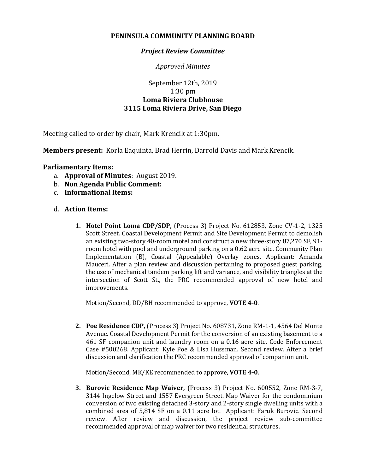## **PENINSULA COMMUNITY PLANNING BOARD**

## *Project Review Committee*

*Approved Minutes*

## September 12th, 2019 1:30 pm **Loma Riviera Clubhouse 3115 Loma Riviera Drive, San Diego**

Meeting called to order by chair, Mark Krencik at 1:30pm.

**Members present:** Korla Eaquinta, Brad Herrin, Darrold Davis and Mark Krencik.

## **Parliamentary Items:**

- a. **Approval of Minutes**: August 2019.
- b. **Non Agenda Public Comment:**
- c. **Informational Items:**
- d. **Action Items:**
	- **1. Hotel Point Loma CDP/SDP,** (Process 3) Project No. 612853, Zone CV-1-2, 1325 Scott Street. Coastal Development Permit and Site Development Permit to demolish an existing two-story 40-room motel and construct a new three-story 87,270 SF, 91 room hotel with pool and underground parking on a 0.62 acre site. Community Plan Implementation (B), Coastal (Appealable) Overlay zones. Applicant: Amanda Mauceri. After a plan review and discussion pertaining to proposed guest parking, the use of mechanical tandem parking lift and variance, and visibility triangles at the intersection of Scott St., the PRC recommended approval of new hotel and improvements.

Motion/Second, DD/BH recommended to approve, **VOTE 4-0**.

**2. Poe Residence CDP,** (Process 3) Project No. 608731, Zone RM-1-1, 4564 Del Monte Avenue. Coastal Development Permit for the conversion of an existing basement to a 461 SF companion unit and laundry room on a 0.16 acre site. Code Enforcement Case #500268. Applicant: Kyle Poe & Lisa Hussman. Second review. After a brief discussion and clarification the PRC recommended approval of companion unit.

Motion/Second, MK/KE recommended to approve, **VOTE 4-0**.

**3. Burovic Residence Map Waiver,** (Process 3) Project No. 600552, Zone RM-3-7, 3144 Ingelow Street and 1557 Evergreen Street. Map Waiver for the condominium conversion of two existing detached 3-story and 2-story single dwelling units with a combined area of 5,814 SF on a 0.11 acre lot. Applicant: Faruk Burovic. Second review. After review and discussion, the project review sub-committee recommended approval of map waiver for two residential structures.